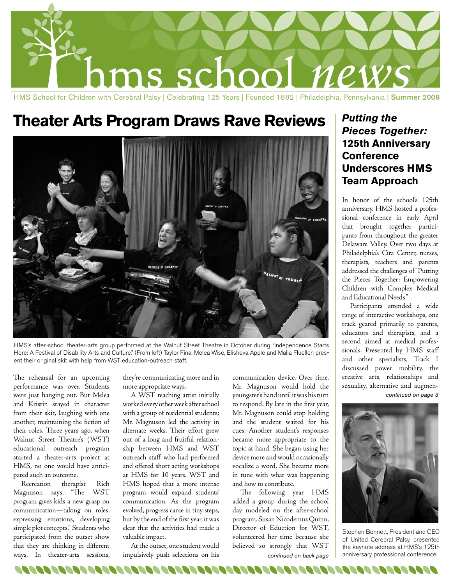

## **Theater Arts Program Draws Rave Reviews**



HMS's after-school theater-arts group performed at the Walnut Street Theatre in October during "Independence Starts Here: A Festival of Disability Arts and Culture." (From left) Taylor Fina, Melea Wise, Elisheva Apple and Malia Fluellen present their original skit with help from WST education-outreach staff.

The rehearsal for an upcoming performance was over. Students were just hanging out. But Melea and Kristin stayed in character from their skit, laughing with one another, maintaining the fiction of their roles. Three years ago, when Walnut Street Theatre's (WST) educational outreach program started a theater-arts project at HMS, no one would have anticipated such an outcome.

Recreation therapist Rich Magnuson says, "The WST program gives kids a new grasp on communication—taking on roles, expressing emotions, developing simple plot concepts." Students who participated from the outset show that they are thinking in different ways. In theater-arts sessions,

they're communicating more and in more appropriate ways.

A WST teaching artist initially worked every other week after school with a group of residential students; Mr. Magnuson led the activity in alternate weeks. Their effort grew out of a long and fruitful relationship between HMS and WST outreach staff who had performed and offered short acting workshops at HMS for 10 years. WST and HMS hoped that a more intense program would expand students' communication. As the program evolved, progress came in tiny steps, but by the end of the first year, it was clear that the activities had made a valuable impact.

At the outset, one student would impulsively push selections on his

REAGER OF OP OP OP OP ONE OF OPPORTUNITIES OF OPPORTUNITIES OF OPPORTUNITIES OF OPPORTUNITIES OF A SAME AND DR

communication device. Over time, Mr. Magnuson would hold the youngster's hand until it was his turn to respond. By late in the first year, Mr. Magnuson could stop holding and the student waited for his cues. Another student's responses became more appropriate to the topic at hand. She began using her device more and would occasionally vocalize a word. She became more in tune with what was happening and how to contribute.

The following year HMS added a group during the school day modeled on the after-school program. Susan Nicodemus Quinn, Director of Eduction for WST, volunteered her time because she believed so strongly that WST

#### *Putting the Pieces Together:* **125th Anniversary Conference Underscores HMS Team Approach**

In honor of the school's 125th anniversary, HMS hosted a professional conference in early April that brought together participants from throughout the greater Delaware Valley. Over two days at Philadelphia's Cira Center, nurses, therapists, teachers and parents addressed the challenges of "Putting the Pieces Together: Empowering Children with Complex Medical and Educational Needs."

*continued on page 3* Participants attended a wide range of interactive workshops, one track geared primarily to parents, educators and therapists, and a second aimed at medical professionals. Presented by HMS staff and other specialists, Track I discussed power mobility, the creative arts, relationships and sexuality, alternative and augmen-



Stephen Bennett, President and CEO of United Cerebral Palsy, presented the keynote address at HMS's 125th continued on back page | anniversary professional conference.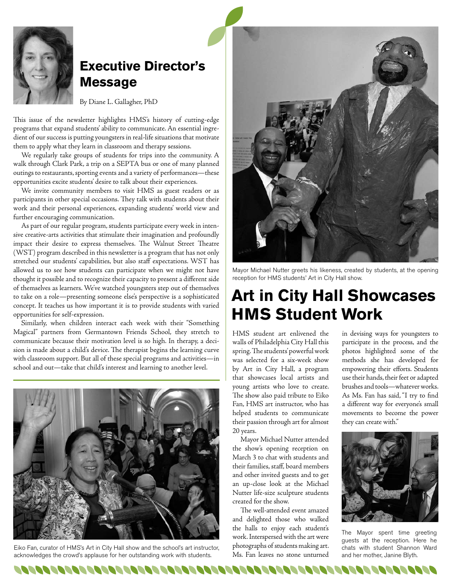

#### **Executive Director's Message**

By Diane L. Gallagher, PhD

This issue of the newsletter highlights HMS's history of cutting-edge programs that expand students' ability to communicate. An essential ingredient of our success is putting youngsters in real-life situations that motivate them to apply what they learn in classroom and therapy sessions.

We regularly take groups of students for trips into the community. A walk through Clark Park, a trip on a SEPTA bus or one of many planned outings to restaurants, sporting events and a variety of performances—these opportunities excite students' desire to talk about their experiences.

We invite community members to visit HMS as guest readers or as participants in other special occasions. They talk with students about their work and their personal experiences, expanding students' world view and further encouraging communication.

As part of our regular program, students participate every week in intensive creative-arts activities that stimulate their imagination and profoundly impact their desire to express themselves. The Walnut Street Theatre (WST) program described in this newsletter is a program that has not only stretched our students' capabilities, but also staff expectations. WST has allowed us to see how students can participate when we might not have thought it possible and to recognize their capacity to present a different side of themselves as learners. We've watched youngsters step out of themselves to take on a role—presenting someone else's perspective is a sophisticated concept. It teaches us how important it is to provide students with varied opportunities for self-expression.

Similarly, when children interact each week with their "Something Magical" partners from Germantown Friends School, they stretch to communicate because their motivation level is so high. In therapy, a decision is made about a child's device. The therapist begins the learning curve with classroom support. But all of these special programs and activities—in school and out—take that child's interest and learning to another level.



Eiko Fan, curator of HMS's Art in City Hall show and the school's art instructor, acknowledges the crowd's applause for her outstanding work with students.



Mayor Michael Nutter greets his likeness, created by students, at the opening reception for HMS students' Art in City Hall show.

## **Art in City Hall Showcases HMS Student Work**

HMS student art enlivened the walls of Philadelphia City Hall this spring. The students' powerful work was selected for a six-week show by Art in City Hall, a program that showcases local artists and young artists who love to create. The show also paid tribute to Eiko Fan, HMS art instructor, who has helped students to communicate their passion through art for almost 20 years.

Mayor Michael Nutter attended the show's opening reception on March 3 to chat with students and their families, staff, board members and other invited guests and to get an up-close look at the Michael Nutter life-size sculpture students created for the show.

The well-attended event amazed and delighted those who walked the halls to enjoy each student's work. Interspersed with the art were photographs of students making art. Ms. Fan leaves no stone unturned

in devising ways for youngsters to participate in the process, and the photos highlighted some of the methods she has developed for empowering their efforts. Students use their hands, their feet or adapted brushes and tools—whatever works. As Ms. Fan has said, "I try to find a different way for everyone's small movements to become the power they can create with."



The Mayor spent time greeting guests at the reception. Here he chats with student Shannon Ward and her mother, Janine Blyth.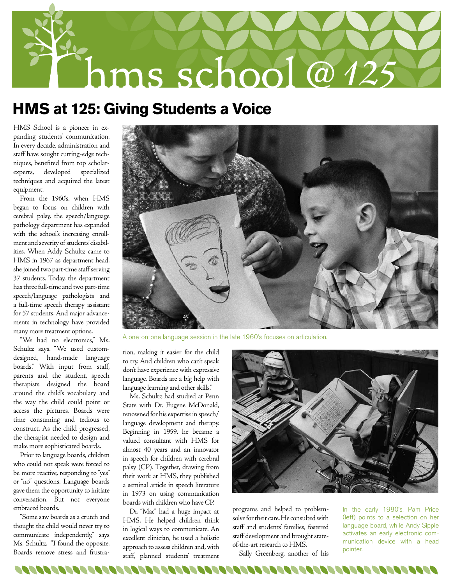

### **HMS at 125: Giving Students a Voice**

HMS School is a pioneer in expanding students' communication. In every decade, administration and staff have sought cutting-edge techniques, benefited from top scholarexperts, developed specialized techniques and acquired the latest equipment.

From the 1960's, when HMS began to focus on children with cerebral palsy, the speech/language pathology department has expanded with the school's increasing enrollment and severity of students' disabilities. When Addy Schultz came to HMS in 1967 as department head, she joined two part-time staff serving 37 students. Today, the department has three full-time and two part-time speech/language pathologists and a full-time speech therapy assistant for 57 students. And major advancements in technology have provided many more treatment options.

"We had no electronics," Ms. Schultz says. "We used customdesigned, hand-made language boards." With input from staff, parents and the student, speech therapists designed the board around the child's vocabulary and the way the child could point or access the pictures. Boards were time consuming and tedious to construct. As the child progressed, the therapist needed to design and make more sophisticated boards.

Prior to language boards, children who could not speak were forced to be more reactive, responding to "yes" or "no" questions. Language boards gave them the opportunity to initiate conversation. But not everyone embraced boards.

"Some saw boards as a crutch and thought the child would never try to communicate independently," says Ms. Schultz. "I found the opposite. Boards remove stress and frustra-



A one-on-one language session in the late 1960's focuses on articulation.

tion, making it easier for the child to try. And children who can't speak don't have experience with expressive language. Boards are a big help with language learning and other skills."

Ms. Schultz had studied at Penn State with Dr. Eugene McDonald, renowned for his expertise in speech/ language development and therapy. Beginning in 1959, he became a valued consultant with HMS for almost 40 years and an innovator in speech for children with cerebral palsy (CP). Together, drawing from their work at HMS, they published a seminal article in speech literature in 1973 on using communication boards with children who have CP.

Dr. "Mac" had a huge impact at HMS. He helped children think in logical ways to communicate. An excellent clinician, he used a holistic approach to assess children and, with staff, planned students' treatment



programs and helped to problemsolve for their care. He consulted with staff and students' families, fostered staff development and brought stateof-the-art research to HMS.

Sally Greenberg, another of his

In the early 1980's, Pam Price (left) points to a selection on her language board, while Andy Sipple activates an early electronic communication device with a head pointer.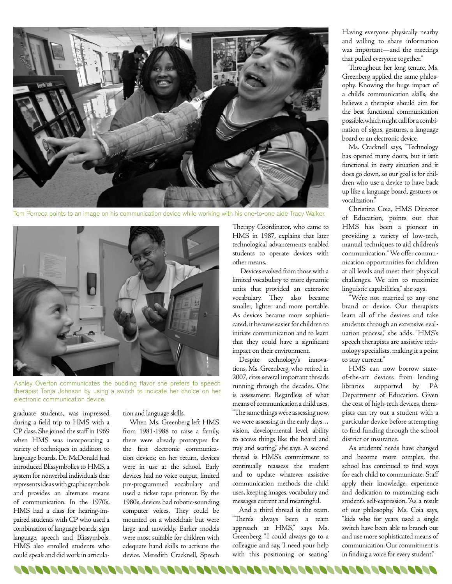

Tom Porreca points to an image on his communication device while working with his one-to-one aide Tracy Walker.



Ashley Overton communicates the pudding flavor she prefers to speech therapist Tonja Johnson by using a switch to indicate her choice on her electronic communication device.

0000000000000000000000000000

graduate students, was impressed during a field trip to HMS with a CP class. She joined the staff in 1969 when HMS was incorporating a variety of techniques in addition to language boards. Dr. McDonald had introduced Blissymbolics to HMS, a system for nonverbal individuals that represents ideas with graphic symbols and provides an alternate means of communication. In the 1970's, HMS had a class for hearing-impaired students with CP who used a combination of language boards, sign language, speech and Blissymbols. HMS also enrolled students who could speak and did work in articulation and language skills.

When Ms. Greenberg left HMS from 1981-1988 to raise a family, there were already prototypes for the first electronic communication devices; on her return, devices were in use at the school. Early devices had no voice output, limited pre-programmed vocabulary and used a ticker tape printout. By the 1980's, devices had robotic-sounding computer voices. They could be mounted on a wheelchair but were large and unwieldy. Earlier models were most suitable for children with adequate hand skills to activate the device. Meredith Cracknell, Speech

Therapy Coordinator, who came to HMS in 1987, explains that later technological advancements enabled students to operate devices with other means.

Devices evolved from those with a limited vocabulary to more dynamic units that provided an extensive vocabulary. They also became smaller, lighter and more portable. As devices became more sophisticated, it became easier for children to initiate communication and to learn that they could have a significant impact on their environment.

Despite technology's innovations, Ms. Greenberg, who retired in 2007, cites several important threads running through the decades. One is assessment. Regardless of what means of communication a child uses, "The same things we're assessing now, we were assessing in the early days… vision, developmental level, ability to access things like the board and tray and seating," she says. A second thread is HMS's commitment to continually reassess the student and to update whatever assistive communication methods the child uses, keeping images, vocabulary and messages current and meaningful.

And a third thread is the team. "There's always been a team approach at HMS," says Ms. Greenberg. "I could always go to a colleague and say, 'I need your help with this positioning or seating.'

00000000000000000000000000

Having everyone physically nearby and willing to share information was important—and the meetings that pulled everyone together."

Throughout her long tenure, Ms. Greenberg applied the same philosophy. Knowing the huge impact of a child's communication skills, she believes a therapist should aim for the best functional communication possible, which might call for a combination of signs, gestures, a language board or an electronic device.

Ms. Cracknell says, "Technology has opened many doors, but it isn't functional in every situation and it does go down, so our goal is for children who use a device to have back up like a language board, gestures or vocalization."

Christina Coia, HMS Director of Education, points out that HMS has been a pioneer in providing a variety of low-tech, manual techniques to aid children's communication. "We offer communication opportunities for children at all levels and meet their physical challenges. We aim to maximize linguistic capabilities," she says.

"We're not married to any one brand or device. Our therapists learn all of the devices and take students through an extensive evaluation process," she adds. "HMS's speech therapists are assistive technology specialists, making it a point to stay current."

HMS can now borrow stateof-the-art devices from lending libraries supported by PA Department of Education. Given the cost of high-tech devices, therapists can try out a student with a particular device before attempting to find funding through the school district or insurance.

As students' needs have changed and become more complex, the school has continued to find ways for each child to communicate. Staff apply their knowledge, experience and dedication to maximizing each student's self-expression. "As a result of our philosophy," Ms. Coia says, "kids who for years used a single switch have been able to branch out and use more sophisticated means of communication. Our commitment is in finding a voice for every student."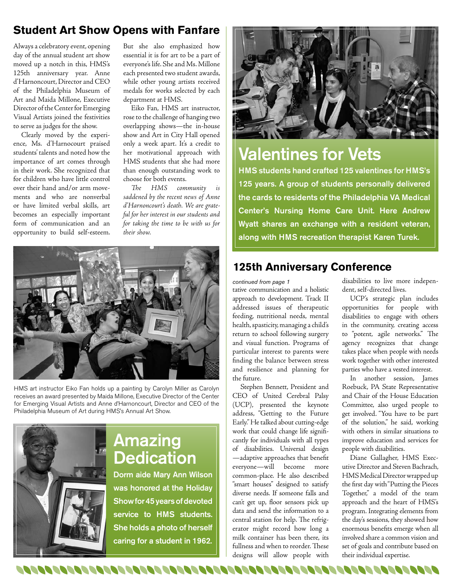#### **Student Art Show Opens with Fanfare**

Always a celebratory event, opening day of the annual student art show moved up a notch in this, HMS's 125th anniversary year. Anne d'Harnoncourt, Director and CEO of the Philadelphia Museum of Art and Maida Millone, Executive Director of the Center for Emerging Visual Artists joined the festivities to serve as judges for the show.

Clearly moved by the experience, Ms. d'Harnocourt praised students' talents and noted how the importance of art comes through in their work. She recognized that for children who have little control over their hand and/or arm movements and who are nonverbal or have limited verbal skills, art becomes an especially important form of communication and an opportunity to build self-esteem. But she also emphasized how essential it is for art to be a part of everyone's life. She and Ms. Millone each presented two student awards, while other young artists received medals for works selected by each department at HMS.

Eiko Fan, HMS art instructor, rose to the challenge of hanging two overlapping shows—the in-house show and Art in City Hall opened only a week apart. It's a credit to her motivational approach with HMS students that she had more than enough outstanding work to choose for both events.

*The HMS community is saddened by the recent news of Anne d'Harnoncourt's death. We are grateful for her interest in our students and for taking the time to be with us for their show.*



HMS art instructor Eiko Fan holds up a painting by Carolyn Miller as Carolyn receives an award presented by Maida Millone, Executive Director of the Center for Emerging Visual Artists and Anne d'Harnoncourt, Director and CEO of the Philadelphia Museum of Art during HMS's Annual Art Show.



### Amazing **Dedication**

Dorm aide Mary Ann Wilson was honored at the Holiday Show for 45 years of devoted service to HMS students. She holds a photo of herself caring for a student in 1962.



# Valentines for Vets

HMS students hand crafted 125 valentines for HMS's 125 years. A group of students personally delivered the cards to residents of the Philadelphia VA Medical Center's Nursing Home Care Unit. Here Andrew Wyatt shares an exchange with a resident veteran, along with HMS recreation therapist Karen Turek.

#### **125th Anniversary Conference**

*continued from page 1*

tative communication and a holistic approach to development. Track II addressed issues of therapeutic feeding, nutritional needs, mental health, spasticity, managing a child's return to school following surgery and visual function. Programs of particular interest to parents were finding the balance between stress and resilience and planning for the future.

Stephen Bennett, President and CEO of United Cerebral Palsy (UCP), presented the keynote address, "Getting to the Future Early." He talked about cutting-edge work that could change life significantly for individuals with all types of disabilities. Universal design —adaptive approaches that benefit everyone—will become more common-place. He also described "smart houses" designed to satisfy diverse needs. If someone falls and can't get up, floor sensors pick up data and send the information to a central station for help. The refrigerator might record how long a milk container has been there, its fullness and when to reorder. These designs will allow people with

disabilities to live more independent, self-directed lives.

UCP's strategic plan includes opportunities for people with disabilities to engage with others in the community, creating access to "potent, agile networks." The agency recognizes that change takes place when people with needs work together with other interested parties who have a vested interest.

In another session, James Roebuck, PA State Representative and Chair of the House Education Committee, also urged people to get involved. "You have to be part of the solution," he said, working with others in similar situations to improve education and services for people with disabilities.

Diane Gallagher, HMS Executive Director and Steven Bachrach, HMS Medical Director wrapped up the first day with "Putting the Pieces Together," a model of the team approach and the heart of HMS's program. Integrating elements from the day's sessions, they showed how enormous benefits emerge when all involved share a common vision and set of goals and contribute based on their individual expertise.